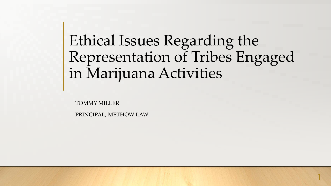# Ethical Issues Regarding the Representation of Tribes Engaged in Marijuana Activities

TOMMY MILLER

PRINCIPAL, METHOW LAW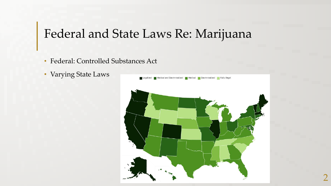### Federal and State Laws Re: Marijuana

- Federal: Controlled Substances Act
- Varying State Laws

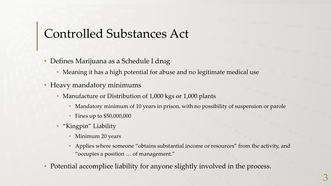# Controlled Substances Act

- Defines Marijuana as a Schedule I drug
	- Meaning it has a high potential for abuse and no legitimate medical use
- Heavy mandatory minimums
	- Manufacture or Distribution of 1,000 kgs or 1,000 plants
		- Mandatory minimum of 10 years in prison, with no possibility of suspension or parole
		- Fines up to \$50,000,000
	- "Kingpin" Liability
		- Minimum 20 years
		- Applies where someone "obtains substantial income or resources" from the activity, and "occupies a position … of management."
- Potential accomplice liability for anyone slightly involved in the process.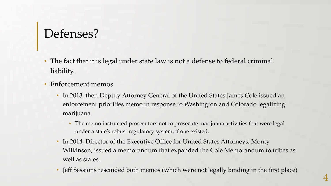# Defenses?

- The fact that it is legal under state law is not a defense to federal criminal liability.
- Enforcement memos
	- In 2013, then-Deputy Attorney General of the United States James Cole issued an enforcement priorities memo in response to Washington and Colorado legalizing marijuana.
		- The memo instructed prosecutors not to prosecute marijuana activities that were legal under a state's robust regulatory system, if one existed.
	- In 2014, Director of the Executive Office for United States Attorneys, Monty Wilkinson, issued a memorandum that expanded the Cole Memorandum to tribes as well as states.
	- Jeff Sessions rescinded both memos (which were not legally binding in the first place)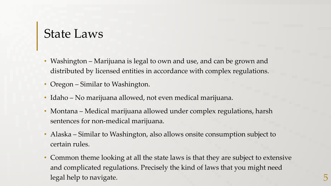#### State Laws

- Washington Marijuana is legal to own and use, and can be grown and distributed by licensed entities in accordance with complex regulations.
- Oregon Similar to Washington.
- Idaho No marijuana allowed, not even medical marijuana.
- Montana Medical marijuana allowed under complex regulations, harsh sentences for non-medical marijuana.
- Alaska Similar to Washington, also allows onsite consumption subject to certain rules.
- Common theme looking at all the state laws is that they are subject to extensive and complicated regulations. Precisely the kind of laws that you might need legal help to navigate. 5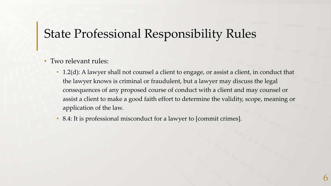# State Professional Responsibility Rules

#### • Two relevant rules:

- 1.2(d): A lawyer shall not counsel a client to engage, or assist a client, in conduct that the lawyer knows is criminal or fraudulent, but a lawyer may discuss the legal consequences of any proposed course of conduct with a client and may counsel or assist a client to make a good faith effort to determine the validity, scope, meaning or application of the law.
- 8.4: It is professional misconduct for a lawyer to [commit crimes].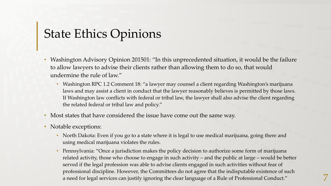# State Ethics Opinions

- Washington Advisory Opinion 201501: "In this unprecedented situation, it would be the failure to allow lawyers to advise their clients rather than allowing them to do so, that would undermine the rule of law."
	- Washington RPC 1.2 Comment 18: "a lawyer may counsel a client regarding Washington's marijuana laws and may assist a client in conduct that the lawyer reasonably believes is permitted by those laws. If Washington law conflicts with federal or tribal law, the lawyer shall also advise the client regarding the related federal or tribal law and policy."
- Most states that have considered the issue have come out the same way.
- Notable exceptions:
	- North Dakota: Even if you go to a state where it is legal to use medical marijuana, going there and using medical marijuana violates the rules.
	- Pennsylvania: "Once a jurisdiction makes the policy decision to authorize some form of marijuana related activity, those who choose to engage in such activity – and the public at large – would be better served if the legal profession was able to advise clients engaged in such activities without fear of professional discipline. However, the Committees do not agree that the indisputable existence of such a need for legal services can justify ignoring the clear language of a Rule of Professional Conduct." 7